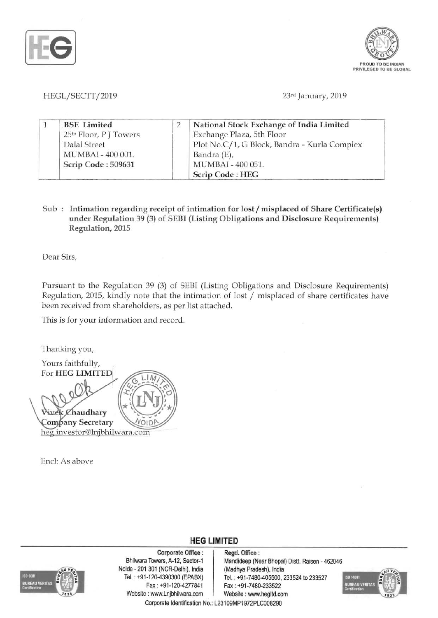



HEGL/SECTT/2019 23rd January, 2019

|  | <b>BSE</b> Limited     |  | National Stock Exchange of India Limited     |  |
|--|------------------------|--|----------------------------------------------|--|
|  | 25th Floor, P J Towers |  | Exchange Plaza, 5th Floor                    |  |
|  | Dalal Street           |  | Plot No.C/1, G Block, Bandra - Kurla Complex |  |
|  | MUMBAI - 400 001.      |  | Bandra (E),                                  |  |
|  | Scrip Code: 509631     |  | MUMBAI - 400 051.                            |  |
|  |                        |  | Scrip Code: HEG                              |  |

Sub : Intimation regarding receipt of intimation for lost / misplaced of Share Certificate(s) under Regulation 39 (3) of SEBI (Listing Obligations and Disclosure Requirements) Regulation, 2015

Dear Sirs,

Pursuant to the Regulation 39 (3) of SEBI (Listing Obligations and Disclosure Requirements) Regulation, 2015, kindly note that the intimation of lost  $/$  misplaced of share certificates have been received from shareholders, as per list attached.

**HEG LIMITED** 

This is for your information and record.

Thanking you, Yours faithfully, For HEG LIMITED ~"'.r-- audhary Company Secretary heg.investor@lnjbhilwara.com

End: As above



Corporate Office: Regd. Office:<br>Bhilwara Towers, A-12, Sector-1 Mandideep (Ne Noida 201 301 (NCR-Delhi), India (Madhya Pradesh), India Tel. : +91 -120-4390300 (EPABX) Tel. : +91-7480-405500, 233524 to 233527 Fax :+91-120-4277841 Fax: +91-7480-233522 Website: www.Lnjbhilwara.com | Website: www.hegltd.com Corporate Identification No.: L23109MP1972PLC008290

Mandideep (Near Bhopal) Distt. Raisen - 462046

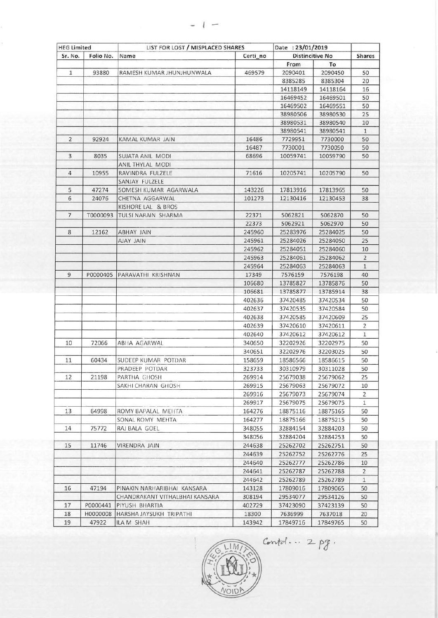| <b>HEG Limited</b> |           | LIST FOR LOST / MISPLACED SHARES |          | Date: 23/01/2019       |          |                |
|--------------------|-----------|----------------------------------|----------|------------------------|----------|----------------|
| Sr. No.            | Folio No. | Name                             | Certi no | <b>Distincitive No</b> |          | <b>Shares</b>  |
|                    |           |                                  |          | From                   | To       |                |
| $\mathbf{1}$       | 93880     | RAMESH KUMAR JHUNJHUNWALA        | 469579   | 2090401                | 2090450  | 50             |
|                    |           |                                  |          | 8385285                | 8385304  | 20             |
|                    |           |                                  |          | 14118149               | 14118164 | 16             |
|                    |           |                                  |          | 16469452               | 16469501 | 50             |
|                    |           |                                  |          | 16469502               | 16469551 | 50             |
|                    |           |                                  |          | 38980506               | 38980530 | 25             |
|                    |           |                                  |          | 38980531               | 38980540 | 10             |
|                    |           |                                  |          | 38980541               | 38980541 | $\mathbf{1}$   |
| 2                  | 92924     | <b>KAMAL KUMAR JAIN</b>          | 16486    | 7729951                | 7730000  | 50             |
|                    |           |                                  | 16487    | 7730001                | 7730050  | 50             |
| 3                  | 8035      | SUJATA ANIL MODI                 | 68696    | 10059741               | 10059790 | 50             |
|                    |           | ANIL THYLAL MODI                 |          |                        |          |                |
| 4                  | 10955     | RAVINDRA FULZELE                 | 71616    | 10205741               | 10205790 | 50             |
|                    |           | SANJAY FULZELE                   |          |                        |          |                |
| 5                  | 47274     | SOMESH KUMAR AGARWALA            | 143226   | 17813916               | 17813965 | 50             |
| 6                  | 24076     | CHETNA AGGARWAL                  | 101273   | 12130416               | 12130453 | 38             |
|                    |           | KISHORE LAL & BROS               |          |                        |          |                |
| $\overline{7}$     | T0000093  | TULSI NARAIN SHARMA              | 22371    | 5062821                | 5062870  | 50             |
|                    |           |                                  | 22373    | 5062921                | 5062970  | 50             |
| 8                  | 12162     | <b>ABHAY JAIN</b>                | 245960   | 25283976               | 25284025 | 50             |
|                    |           | AJAY JAIN                        | 245961   | 25284026               | 25284050 | 25             |
|                    |           |                                  | 245962   | 25284051               | 25284060 | 10             |
|                    |           |                                  | 245963   | 25284061               | 25284062 | $\overline{2}$ |
|                    |           |                                  | 245964   | 25284063               | 25284063 | $\overline{1}$ |
| 9                  | P0000405  | PARAVATHI KRISHNAN               | 17349    | 7576159                | 7576198  | 40             |
|                    |           |                                  | 106680   | 13785827               | 13785876 | 50             |
|                    |           |                                  | 106681   | 13785877               | 13785914 | 38             |
|                    |           |                                  | 402636   | 37420485               | 37420534 | 50             |
|                    |           |                                  | 402637   | 37420535               | 37420584 | 50             |
|                    |           |                                  | 402638   | 37420585               | 37420609 | 25             |
|                    |           |                                  |          |                        |          | $\overline{2}$ |
|                    |           |                                  | 402639   | 37420610               | 37420611 |                |
|                    |           |                                  | 402640   | 37420612               | 37420612 | $\mathbf{1}$   |
| 10                 | 72066     | ABHA AGARWAL                     | 340650   | 32202926               | 32202975 | 50             |
|                    |           |                                  | 340651   | 32202976               | 32203025 | 50             |
| 11                 | 60434     | SUDEEP KUMAR POTDAR              | 158659   | 18586566               | 18586615 | 50             |
|                    |           | PRADEEP POTDAR                   | 323733   | 30310979               | 30311028 | 50             |
| 12                 | 21198     | PARTHA GHOSH                     | 269914   | 25679038               | 25679062 | 25             |
|                    |           | SAKHI CHARAN GHOSH               | 269915   | 25679063               | 25679072 | 10             |
|                    |           |                                  | 269916   | 25679073               | 25679074 | $\overline{2}$ |
|                    |           |                                  | 269917   | 25679075               | 25679075 | $\mathbf{1}$   |
| 13                 | 64998     | ROMY BAPALAL MEHTA               | 164276   | 18875116               | 18875165 | 50             |
|                    |           | SONAL ROMY MEHTA                 | 164277   | 18875166               | 18875215 | 50             |
| 14                 | 75772     | RAJ BALA GOEL                    | 348055   | 32884154               | 32884203 | 50             |
|                    |           |                                  | 348056   | 32884204               | 32884253 | 50             |
| 15                 | 11746     | VIRENDRA JAIN                    | 244638   | 25262702               | 25262751 | 50             |
|                    |           |                                  | 244639   | 25262752               | 25262776 | 25             |
|                    |           |                                  | 244640   | 25262777               | 25262786 | 10             |
|                    |           |                                  | 244641   | 25262787               | 25262788 | $\overline{2}$ |
|                    |           |                                  | 244642   | 25262789               | 25262789 | $\mathbf{1}$   |
| 16                 | 47194     | PINAKIN NARHARIBHAI KANSARA      | 143128   | 17809016               | 17809065 | 50             |
|                    |           | CHANDRAKANT VITHALBHAI KANSARA   | 308194   | 29534077               | 29534126 | 50             |
| 17                 | P0000441  | PIYUSH BHARTIA                   | 402729   | 37423090               | 37423139 | 50             |
| 18                 | H0000008  | HARSHA JAYSUKH TRIPATHI          | 18300    | 7636999                | 7637018  | 20             |
| 19                 | 47922     | ILA M SHAH                       | 143942   | 17849716               | 17849765 | 50             |



 $Conted... 2pg.$